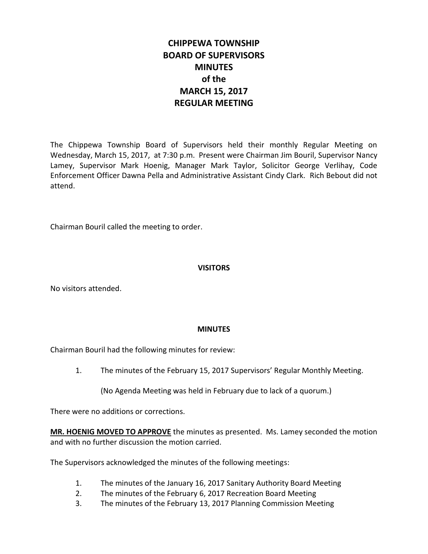# **CHIPPEWA TOWNSHIP BOARD OF SUPERVISORS MINUTES of the MARCH 15, 2017 REGULAR MEETING**

The Chippewa Township Board of Supervisors held their monthly Regular Meeting on Wednesday, March 15, 2017, at 7:30 p.m. Present were Chairman Jim Bouril, Supervisor Nancy Lamey, Supervisor Mark Hoenig, Manager Mark Taylor, Solicitor George Verlihay, Code Enforcement Officer Dawna Pella and Administrative Assistant Cindy Clark. Rich Bebout did not attend.

Chairman Bouril called the meeting to order.

# **VISITORS**

No visitors attended.

# **MINUTES**

Chairman Bouril had the following minutes for review:

1. The minutes of the February 15, 2017 Supervisors' Regular Monthly Meeting.

(No Agenda Meeting was held in February due to lack of a quorum.)

There were no additions or corrections.

**MR. HOENIG MOVED TO APPROVE** the minutes as presented. Ms. Lamey seconded the motion and with no further discussion the motion carried.

The Supervisors acknowledged the minutes of the following meetings:

- 1. The minutes of the January 16, 2017 Sanitary Authority Board Meeting
- 2. The minutes of the February 6, 2017 Recreation Board Meeting
- 3. The minutes of the February 13, 2017 Planning Commission Meeting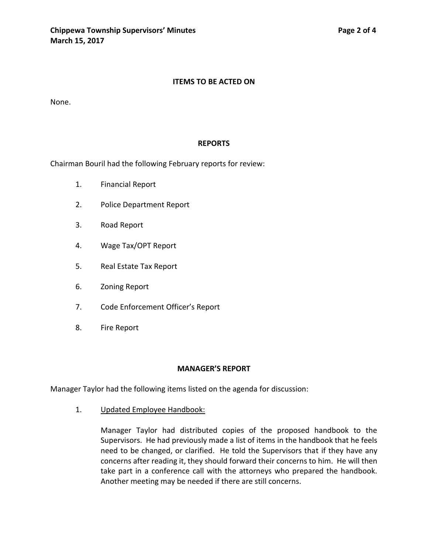#### **ITEMS TO BE ACTED ON**

None.

#### **REPORTS**

Chairman Bouril had the following February reports for review:

- 1. Financial Report
- 2. Police Department Report
- 3. Road Report
- 4. Wage Tax/OPT Report
- 5. Real Estate Tax Report
- 6. Zoning Report
- 7. Code Enforcement Officer's Report
- 8. Fire Report

#### **MANAGER'S REPORT**

Manager Taylor had the following items listed on the agenda for discussion:

1. Updated Employee Handbook:

Manager Taylor had distributed copies of the proposed handbook to the Supervisors. He had previously made a list of items in the handbook that he feels need to be changed, or clarified. He told the Supervisors that if they have any concerns after reading it, they should forward their concerns to him. He will then take part in a conference call with the attorneys who prepared the handbook. Another meeting may be needed if there are still concerns.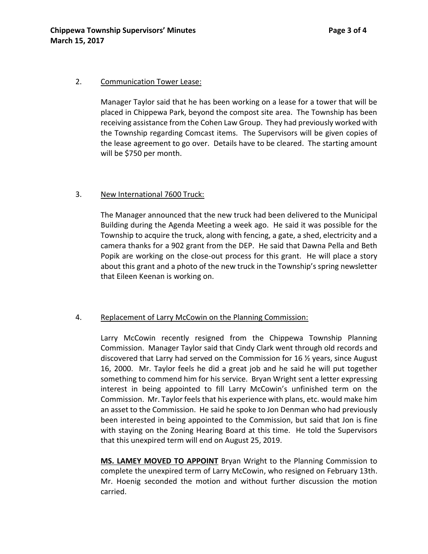#### 2. Communication Tower Lease:

Manager Taylor said that he has been working on a lease for a tower that will be placed in Chippewa Park, beyond the compost site area. The Township has been receiving assistance from the Cohen Law Group. They had previously worked with the Township regarding Comcast items. The Supervisors will be given copies of the lease agreement to go over. Details have to be cleared. The starting amount will be \$750 per month.

#### 3. New International 7600 Truck:

The Manager announced that the new truck had been delivered to the Municipal Building during the Agenda Meeting a week ago. He said it was possible for the Township to acquire the truck, along with fencing, a gate, a shed, electricity and a camera thanks for a 902 grant from the DEP. He said that Dawna Pella and Beth Popik are working on the close-out process for this grant. He will place a story about this grant and a photo of the new truck in the Township's spring newsletter that Eileen Keenan is working on.

#### 4. Replacement of Larry McCowin on the Planning Commission:

Larry McCowin recently resigned from the Chippewa Township Planning Commission. Manager Taylor said that Cindy Clark went through old records and discovered that Larry had served on the Commission for 16 ½ years, since August 16, 2000. Mr. Taylor feels he did a great job and he said he will put together something to commend him for his service. Bryan Wright sent a letter expressing interest in being appointed to fill Larry McCowin's unfinished term on the Commission. Mr. Taylor feels that his experience with plans, etc. would make him an asset to the Commission. He said he spoke to Jon Denman who had previously been interested in being appointed to the Commission, but said that Jon is fine with staying on the Zoning Hearing Board at this time. He told the Supervisors that this unexpired term will end on August 25, 2019.

**MS. LAMEY MOVED TO APPOINT** Bryan Wright to the Planning Commission to complete the unexpired term of Larry McCowin, who resigned on February 13th. Mr. Hoenig seconded the motion and without further discussion the motion carried.